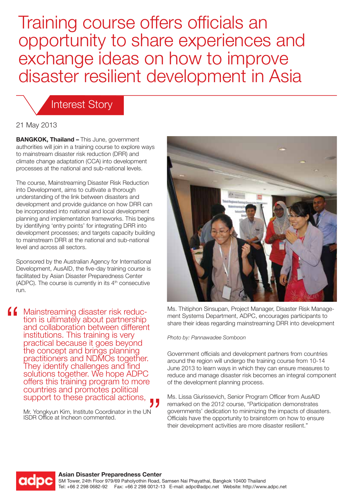Training course offers officials an opportunity to share experiences and exchange ideas on how to improve disaster resilient development in Asia

#### Interest Story

21 May 2013

**BANGKOK, Thailand –** This June, government authorities will join in a training course to explore ways to mainstream disaster risk reduction (DRR) and climate change adaptation (CCA) into development processes at the national and sub-national levels.

The course, Mainstreaming Disaster Risk Reduction into Development, aims to cultivate a thorough understanding of the link between disasters and development and provide guidance on how DRR can be incorporated into national and local development planning and implementation frameworks. This begins by identifying 'entry points' for integrating DRR into development processes; and targets capacity building to mainstream DRR at the national and sub-national level and across all sectors.

Sponsored by the Australian Agency for International Development, AusAID, the five-day training course is facilitated by Asian Disaster Preparedness Center (ADPC). The course is currently in its  $4<sup>th</sup>$  consecutive run.

**(C** Mainstreaming disaster risk reduction is ultimately about partnership and collaboration between different institutions. This training is very practical because it goes beyond the concept and brings planning practitioners and NDMOs together. They identify challenges and find solutions together. We hope ADPC offers this training program to more countries and promotes political support to these practical actions,

> Mr. Yongkyun Kim, Institute Coordinator in the UN ISDR Office at Incheon commented.



Ms. Thitiphon Sinsupan, Project Manager, Disaster Risk Management Systems Department, ADPC, encourages participants to share their ideas regarding mainstreaming DRR into development

*Photo by: Pannawadee Somboon*

Government officials and development partners from countries around the region will undergo the training course from 10-14 June 2013 to learn ways in which they can ensure measures to reduce and manage disaster risk becomes an integral component of the development planning process.

Ms. Lissa Giurissevich, Senior Program Officer from AusAID remarked on the 2012 course, "Participation demonstrates governments' dedication to minimizing the impacts of disasters. Officials have the opportunity to brainstorm on how to ensure their development activities are more disaster resilient."